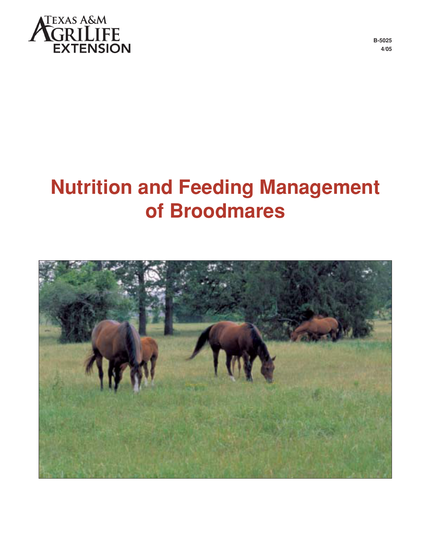

**B-5025 4/05**

# **Nutrition and Feeding Management of Broodmares**

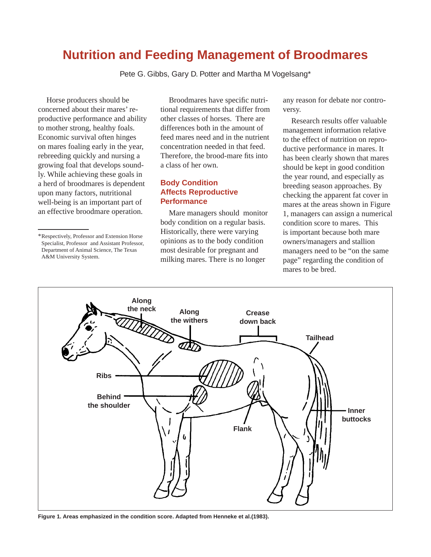# **Nutrition and Feeding Management of Broodmares**

Pete G. Gibbs, Gary D. Potter and Martha M Vogelsang\*

Horse producers should be con cerned about their mares' reproductive performance and ability to mother strong, healthy foals. Economic survival often hinges on mares foaling early in the year, rebreeding quickly and nursing a growing foal that develops soundly. While achieving these goals in a herd of broodmares is dependent upon many factors, nutritional well-being is an important part of an effective broodmare operation.

Broodmares have specific nutritional requirements that differ from other classes of horses. There are differences both in the amount of feed mares need and in the nutrient concentration needed in that feed. Therefore, the brood-mare fits into a class of her own.

# **Body Condition Affects Reproductive Performance**

Mare managers should monitor body condition on a regular basis. Historically, there were varying opinions as to the body condition most desirable for pregnant and milking mares. There is no longer

any reason for debate nor controversy.

Research results offer valuable man agement information relative to the effect of nutrition on reproductive performance in mares. It has been clearly shown that mares should be kept in good condition the year round, and especially as breeding season approaches. By check ing the apparent fat cover in mares at the areas shown in Figure 1, managers can assign a numerical condition score to mares. This is important because both mare owners/managers and stallion managers need to be "on the same page" regarding the condition of mares to be bred.



**Figure 1. Areas emphasized in the condition score. Adapted from Henneke et al.(1983).**

<sup>\*</sup>Respectively, Professor and Extension Horse Specialist, Professor and Assistant Professor, Department of Animal Science, The Texas A&M University System.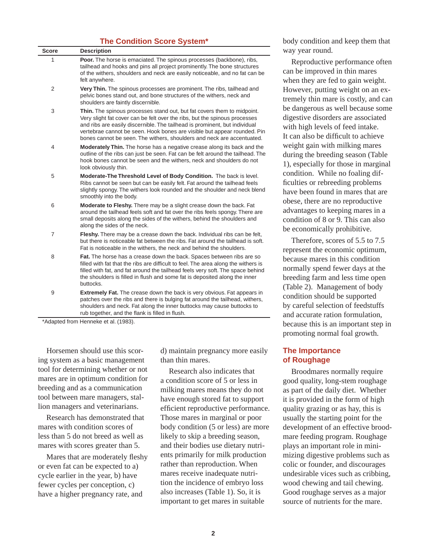#### **The Condition Score System\***

| <b>Score</b> | <b>Description</b>                                                                                                                                                                                                                                                                                                                                                                        |
|--------------|-------------------------------------------------------------------------------------------------------------------------------------------------------------------------------------------------------------------------------------------------------------------------------------------------------------------------------------------------------------------------------------------|
| 1            | Poor. The horse is emaciated. The spinous processes (backbone), ribs,<br>tailhead and hooks and pins all project prominently. The bone structures<br>of the withers, shoulders and neck are easily noticeable, and no fat can be<br>felt anywhere.                                                                                                                                        |
| 2            | Very Thin. The spinous processes are prominent. The ribs, tailhead and<br>pelvic bones stand out, and bone structures of the withers, neck and<br>shoulders are faintly discernible.                                                                                                                                                                                                      |
| 3            | Thin. The spinous processes stand out, but fat covers them to midpoint.<br>Very slight fat cover can be felt over the ribs, but the spinous processes<br>and ribs are easily discernible. The tailhead is prominent, but individual<br>vertebrae cannot be seen. Hook bones are visible but appear rounded. Pin<br>bones cannot be seen. The withers, shoulders and neck are accentuated. |
| 4            | <b>Moderately Thin.</b> The horse has a negative crease along its back and the<br>outline of the ribs can just be seen. Fat can be felt around the tailhead. The<br>hook bones cannot be seen and the withers, neck and shoulders do not<br>look obviously thin.                                                                                                                          |
| 5            | Moderate-The Threshold Level of Body Condition. The back is level.<br>Ribs cannot be seen but can be easily felt. Fat around the tailhead feels<br>slightly spongy. The withers look rounded and the shoulder and neck blend<br>smoothly into the body.                                                                                                                                   |
| 6            | Moderate to Fleshy. There may be a slight crease down the back. Fat<br>around the tailhead feels soft and fat over the ribs feels spongy. There are<br>small deposits along the sides of the withers, behind the shoulders and<br>along the sides of the neck.                                                                                                                            |
| 7            | Fleshy. There may be a crease down the back. Individual ribs can be felt,<br>but there is noticeable fat between the ribs. Fat around the tailhead is soft.<br>Fat is noticeable in the withers, the neck and behind the shoulders.                                                                                                                                                       |
| 8            | Fat. The horse has a crease down the back. Spaces between ribs are so<br>filled with fat that the ribs are difficult to feel. The area along the withers is<br>filled with fat, and fat around the tailhead feels very soft. The space behind<br>the shoulders is filled in flush and some fat is deposited along the inner<br>buttocks.                                                  |
| 9            | <b>Extremely Fat.</b> The crease down the back is very obvious. Fat appears in<br>patches over the ribs and there is bulging fat around the tailhead, withers,<br>shoulders and neck. Fat along the inner buttocks may cause buttocks to<br>rub together, and the flank is filled in flush.                                                                                               |

\*Adapted from Henneke et al. (1983).

Horsemen should use this scoring system as a basic management tool for determining whether or not mares are in optimum condition for breeding and as a communication tool between mare managers, stallion managers and veterinarians.

Research has demonstrated that mares with condition scores of less than 5 do not breed as well as mares with scores greater than 5.

Mares that are moderately fleshy or even fat can be expected to a) cycle earlier in the year, b) have fewer cycles per conception, c) have a higher pregnancy rate, and

d) maintain pregnancy more easily than thin mares.

Research also indicates that a condition score of 5 or less in milking mares means they do not have enough stored fat to support efficient reproductive performance. Those mares in marginal or poor body condition (5 or less) are more likely to skip a breeding season, and their bodies use dietary nutrients primarily for milk production rather than reproduction. When mares receive inadequate nutrition the incidence of embryo loss also increases (Table 1). So, it is important to get mares in suitable

body condition and keep them that way year round.

Reproductive performance often can be improved in thin mares when they are fed to gain weight. However, putting weight on an extremely thin mare is costly, and can be dangerous as well because some digestive disorders are associated with high levels of feed intake. It can also be difficult to achieve weight gain with milking mares during the breeding season (Table 1), especially for those in marginal condition. While no foaling difficulties or rebreeding problems have been found in mares that are obese, there are no reproductive advantages to keeping mares in a condition of 8 or 9. This can also be economically prohibitive.

Therefore, scores of 5.5 to 7.5 represent the economic optimum, because mares in this condition normally spend fewer days at the breeding farm and less time open (Table 2). Management of body condition should be supported by careful selection of feedstuffs and accurate ration formulation. be cause this is an important step in promoting normal foal growth.

#### **The Importance of Roughage**

Broodmares normally require good quality, long-stem roughage as part of the daily diet. Whether it is provided in the form of high quality grazing or as hay, this is usually the starting point for the development of an effective broodmare feeding program. Roughage plays an important role in minimizing digestive problems such as colic or founder, and discourages undesirable vices such as cribbing, wood chewing and tail chewing. Good roughage serves as a major source of nutrients for the mare.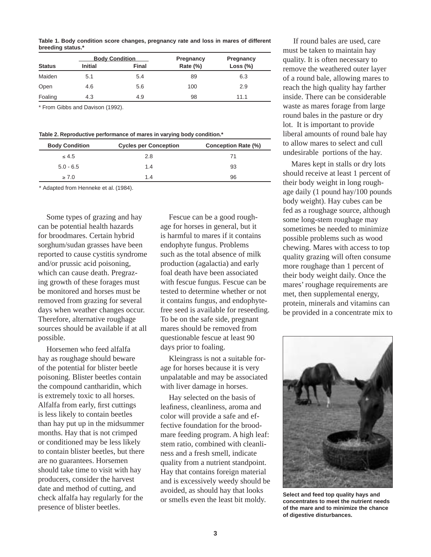Table 1. Body condition score changes, pregnancy rate and loss in mares of different **breeding status.\***

|               |                | <b>Body Condition</b> | Pregnancy | Pregnancy   |
|---------------|----------------|-----------------------|-----------|-------------|
| <b>Status</b> | <b>Initial</b> | <b>Final</b>          | Rate (%)  | Loss $(\%)$ |
| Maiden        | 5.1            | 5.4                   | 89        | 6.3         |
| Open          | 4.6            | 5.6                   | 100       | 2.9         |
| Foaling       | 4.3            | 4.9                   | 98        | 11.1        |

\* From Gibbs and Davison (1992).

Table 2. Reproductive performance of mares in varying body condition.<sup>\*</sup>

| <b>Body Condition</b> | <b>Cycles per Conception</b> | <b>Conception Rate (%)</b> |
|-----------------------|------------------------------|----------------------------|
| $\leq 4.5$            | 2.8                          |                            |
| $5.0 - 6.5$           | 1.4                          | 93                         |
| $\geq 7.0$            | 1.4                          | 96                         |

\* Adapted from Henneke et al. (1984).

Some types of grazing and hay can be potential health hazards for broodmares. Certain hybrid sorghum/sudan grasses have been reported to cause cystitis syndrome and/or prussic acid poisoning, which can cause death. Pregrazing growth of these forages must be monitored and horses must be removed from grazing for several days when weather changes occur. Therefore, alternative roughage sources should be available if at all possible.

Horsemen who feed alfalfa hay as roughage should beware of the potential for blister beetle poisoning. Blister beetles contain the compound cantharidin, which is extremely toxic to all horses. Alfalfa from early, first cuttings is less likely to contain beetles than hay put up in the mid summer months. Hay that is not crimped or conditioned may be less likely to contain blister beetles, but there are no guarantees. Horsemen should take time to visit with hay producers, consider the harvest date and method of cutting, and check alfalfa hay regularly for the presence of blister beetles.

Fescue can be a good roughage for horses in general, but it is harm ful to mares if it contains endophyte fungus. Problems such as the total absence of milk production (agalactia) and early foal death have been associated with fescue fungus. Fescue can be tested to determine whether or not it contains fungus, and endophytefree seed is available for reseeding. To be on the safe side, pregnant mares should be removed from questionable fescue at least 90 days prior to foaling.

Kleingrass is not a suitable forage for horses because it is very unpalatable and may be associated with liver damage in horses.

Hay selected on the basis of leafiness, cleanliness, aroma and color will provide a safe and effective foundation for the broodmare feeding program. A high leaf: stem ratio, combined with cleanliness and a fresh smell, indicate quality from a nutrient standpoint. Hay that contains foreign material and is excessively weedy should be avoided, as should hay that looks or smells even the least bit moldy.

 If round bales are used, care must be taken to maintain hay quality. It is often necessary to remove the weathered outer layer of a round bale, allowing mares to reach the high quality hay farther inside. There can be considerable waste as mares forage from large round bales in the pasture or dry lot. It is important to provide liberal amounts of round bale hay to allow mares to select and cull undesirable portions of the hay.

Mares kept in stalls or dry lots should receive at least 1 percent of their body weight in long roughage daily (1 pound hay/100 pounds body weight). Hay cubes can be fed as a roughage source, although some long-stem roughage may sometimes be needed to minimize possible problems such as wood chewing. Mares with access to top quality grazing will often consume more roughage than 1 percent of their body weight daily. Once the mares' roughage requirements are met, then supplemental energy, protein, minerals and vitamins can be provided in a concentrate mix to



**Select and feed top quality hays and con cen trates to meet the nutrient needs of the mare and to minimize the chance of digestive disturbances.**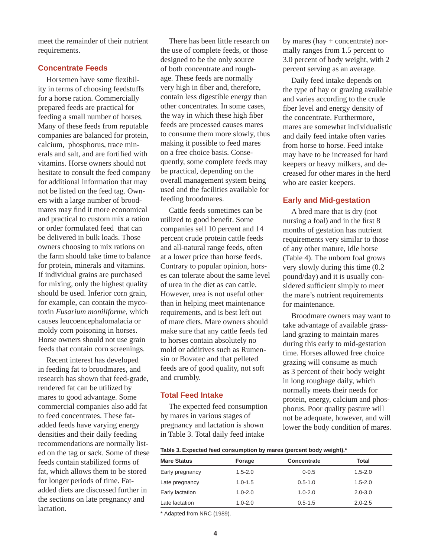meet the remainder of their nutrient requirements.

#### **Concentrate Feeds**

Horsemen have some flexibility in terms of choosing feedstuffs for a horse ration. Commercially prepared feeds are practical for feeding a small number of horses. Many of these feeds from reputable companies are balanced for protein, cal cium, phosphorus, trace minerals and salt, and are fortified with vitamins. Horse owners should not hesitate to consult the feed company for additional information that may not be listed on the feed tag. Owners with a large num ber of broodmares may find it more economical and practical to custom mix a ration or order formulated feed that can be delivered in bulk loads. Those owners choosing to mix rations on the farm should take time to balance for protein, minerals and vitamins. If individual grains are purchased for mixing, only the highest quality should be used. Inferior corn grain, for example, can contain the mycotoxin Fusarium moniliforme, which causes leucoencephalomalacia or moldy corn poisoning in horses. Horse owners should not use grain feeds that contain corn screenings.

Recent interest has developed in feeding fat to broodmares, and research has shown that feed-grade, rendered fat can be utilized by mares to good advantage. Some commercial companies also add fat to feed concentrates. These fatadded feeds have varying energy densities and their daily feeding recommendations are normally listed on the tag or sack. Some of these feeds contain stabilized forms of fat, which allows them to be stored for longer periods of time. Fatadded diets are discussed further in the sections on late pregnancy and lactation.

There has been little research on the use of complete feeds, or those designed to be the only source of both concentrate and roughage. These feeds are normally very high in fiber and, therefore, contain less digestible energy than other concentrates. In some cases, the way in which these high fiber feeds are processed causes mares to consume them more slowly, thus making it possible to feed mares on a free choice basis. Consequently, some complete feeds may be practical, depending on the overall management system being used and the facilities avail able for feeding broodmares.

Cattle feeds sometimes can be utilized to good benefit. Some companies sell 10 percent and 14 percent crude protein cattle feeds and all-natural range feeds, often at a lower price than horse feeds. Contrary to popular opinion, horses can tolerate about the same level of urea in the diet as can cattle. However, urea is not useful other than in helping meet maintenance requirements, and is best left out of mare diets. Mare owners should make sure that any cattle feeds fed to horses contain absolutely no mold or additives such as Rumensin or Bovatec and that pelleted feeds are of good quality, not soft and crumbly.

#### **Total Feed Intake**

The expected feed consumption by mares in various stages of pregnancy and lactation is shown in Table 3. Total daily feed intake

by mares (hay + concentrate) normally ranges from 1.5 percent to 3.0 percent of body weight, with 2 percent serving as an average.

Daily feed intake depends on the type of hay or grazing available and varies according to the crude fiber level and energy density of the concentrate. Furthermore, mares are some what individualistic and daily feed intake often varies from horse to horse. Feed intake may have to be increased for hard keepers or heavy milkers, and decreased for other mares in the herd who are easier keepers.

#### **Early and Mid-gestation**

A bred mare that is dry (not nursing a foal) and in the first 8 months of gestation has nutrient requirements very similar to those of any other mature, idle horse (Table 4). The unborn foal grows very slowly during this time (0.2 pound/day) and it is usually considered sufficient simply to meet the mare's nutrient requirements for maintenance.

Broodmare owners may want to take advantage of available grassland grazing to maintain mares during this early to mid-gestation time. Horses allowed free choice grazing will consume as much as 3 percent of their body weight in long roughage daily, which normally meets their needs for protein, energy, calcium and phosphorus. Poor quality pasture will not be adequate, however, and will lower the body condition of mares.

Table 3. Expected feed consumption by mares (percent body weight).<sup>\*</sup>

| <b>Mare Status</b> | Forage      | <b>Concentrate</b> | Total       |  |
|--------------------|-------------|--------------------|-------------|--|
| Early pregnancy    | $1.5 - 2.0$ | $0 - 0.5$          | $1.5 - 2.0$ |  |
| Late pregnancy     | $1.0 - 1.5$ | $0.5 - 1.0$        | $1.5 - 2.0$ |  |
| Early lactation    | $1.0 - 2.0$ | $1.0 - 2.0$        | $2.0 - 3.0$ |  |
| Late lactation     | $1.0 - 2.0$ | $0.5 - 1.5$        | $2.0 - 2.5$ |  |

\* Adapted from NRC (1989).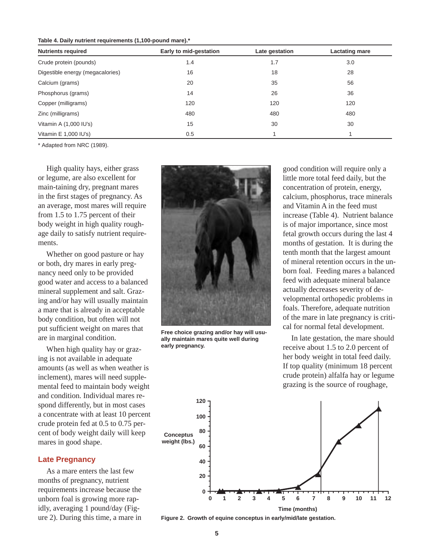Table 4. Daily nutrient requirements (1,100-pound mare).<sup>\*</sup>

| <b>Nutrients required</b>        | Early to mid-gestation | Late gestation | <b>Lactating mare</b> |  |
|----------------------------------|------------------------|----------------|-----------------------|--|
| Crude protein (pounds)           | 1.4                    | 1.7            | 3.0                   |  |
| Digestible energy (megacalories) | 16                     | 18             | 28                    |  |
| Calcium (grams)                  | 20                     | 35             | 56                    |  |
| Phosphorus (grams)               | 14                     | 26             | 36                    |  |
| Copper (milligrams)              | 120                    | 120            | 120                   |  |
| Zinc (milligrams)                | 480                    | 480            | 480                   |  |
| Vitamin A (1,000 IU's)           | 15                     | 30             | 30                    |  |
| Vitamin E 1,000 IU's)            | 0.5                    |                |                       |  |

\* Adapted from NRC (1989).

High quality hays, either grass or legume, are also excellent for main-taining dry, pregnant mares in the first stages of pregnancy. As an average, most mares will require from 1.5 to 1.75 percent of their body weight in high quality roughage daily to satisfy nutrient requirements.

Whether on good pasture or hay or both, dry mares in early pregnancy need only to be provided good water and access to a balanced mineral supplement and salt. Grazing and/or hay will usually maintain a mare that is already in acceptable body condition, but often will not put sufficient weight on mares that are in marginal condition.

When high quality hay or grazing is not available in adequate amounts (as well as when weather is in clement), mares will need supplemental feed to maintain body weight and condition. Individual mares respond differently, but in most cases a concentrate with at least 10 percent crude protein fed at 0.5 to 0.75 percent of body weight daily will keep mares in good shape.

#### **Late Pregnancy**

As a mare enters the last few months of pregnancy, nutrient requirements increase because the unborn foal is growing more rapidly, averaging 1 pound/day (Figure 2). During this time, a mare in



**Free choice grazing and/or hay will usually main tain mares quite well during**  early pregnancy.

good condition will require only a little more total feed daily, but the concentration of protein, energy, cal cium, phosphorus, trace minerals and Vitamin A in the feed must increase (Table 4). Nutrient balance is of major importance, since most fetal growth occurs during the last 4 months of gestation. It is during the tenth month that the largest amount of mineral retention occurs in the unborn foal. Feeding mares a balanced feed with adequate mineral balance actually decreases severity of developmental orthopedic problems in foals. Therefore, adequate nutrition of the mare in late pregnancy is critical for normal fetal development.

In late gestation, the mare should receive about 1.5 to 2.0 percent of her body weight in total feed daily. If top quality (minimum 18 percent crude protein) alfalfa hay or legume grazing is the source of roughage,



**Figure 2. Growth of equine conceptus in early/mid/late gestation.**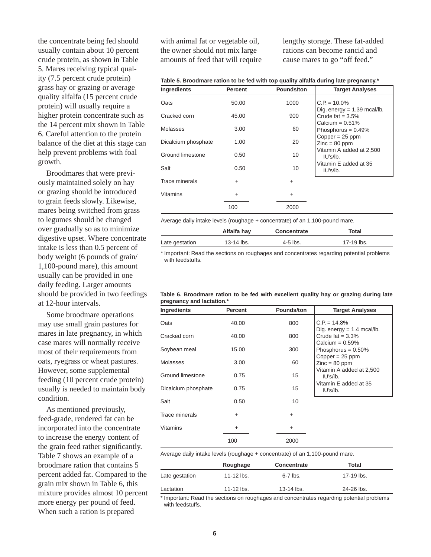the concentrate being fed should usually contain about 10 percent crude protein, as shown in Table 5. Mares receiving typical quality (7.5 percent crude protein) grass hay or grazing or average quality alfalfa (15 percent crude protein) will usually require a higher protein concentrate such as the 14 percent mix shown in Table 6. Careful attention to the protein balance of the diet at this stage can help prevent problems with foal growth.

Broodmares that were previously maintained solely on hay or grazing should be introduced to grain feeds slowly. Likewise, mares being switched from grass to legumes should be changed over gradually so as to minimize digestive upset. Where concentrate intake is less than 0.5 percent of body weight (6 pounds of grain/ 1,100-pound mare), this amount usually can be provided in one daily feeding. Larger amounts should be provided in two feedings at 12-hour intervals.

Some broodmare operations may use small grain pastures for mares in late pregnancy, in which case mares will normally receive most of their requirements from oats, ryegrass or wheat pastures. However, some supplemental feeding (10 percent crude protein) usually is needed to maintain body condition.

As mentioned previously, feed-grade, rendered fat can be incorporated into the concentrate to increase the energy content of the grain feed rather significantly. Table 7 shows an example of a broodmare ration that contains 5 percent added fat. Compared to the grain mix shown in Table 6, this mixture provides almost 10 percent more energy per pound of feed. When such a ration is prepared

with animal fat or vegetable oil, the owner should not mix large amounts of feed that will require lengthy storage. These fat-added rations can become rancid and cause mares to go "off feed."

| <b>Ingredients</b>  | <b>Percent</b> | Pounds/ton | <b>Target Analyses</b>                               |
|---------------------|----------------|------------|------------------------------------------------------|
| Oats                | 50.00          | 1000       | $C.P. = 10.0\%$                                      |
| Cracked corn        | 45.00          | 900        | Dig. energy $= 1.39$ mcal/lb.<br>Crude fat $= 3.5\%$ |
| Molasses            | 3.00           | 60         | Calcium = $0.51\%$<br>Phosphorus = $0.49\%$          |
| Dicalcium phosphate | 1.00           | 20         | $Copper = 25 ppm$<br>$Zinc = 80$ ppm                 |
| Ground limestone    | 0.50           | 10         | Vitamin A added at 2,500<br>IU's/Ib.                 |
| Salt                | 0.50           | 10         | Vitamin E added at 35<br>IU's/lb.                    |
| Trace minerals      | $\ddot{}$      | $\ddot{}$  |                                                      |
| Vitamins            | $\ddot{}$      | $\ddot{}$  |                                                      |
|                     | 100            | 2000       |                                                      |

Average daily intake levels (roughage + concentrate) of an 1,100-pound mare.

|                | Alfalfa hay | <b>Concentrate</b> | Total      |
|----------------|-------------|--------------------|------------|
| Late gestation | 13-14 lbs.  | $4-5$ lbs.         | 17-19 lbs. |

\* Important: Read the sections on roughages and concentrates regarding potential problems with feedstuffs.

#### **Table 6. Broodmare ration to be fed with excellent quality hay or grazing during late pregnancy and lactation.\***

| <b>Ingredients</b>  | <b>Percent</b> | Pounds/ton | <b>Target Analyses</b>                                           |
|---------------------|----------------|------------|------------------------------------------------------------------|
| Oats                | 40.00          | 800        | $C.P. = 14.8\%$<br>Dig. energy $= 1.4$ mcal/lb.                  |
| Cracked corn        | 40.00          | 800        | Crude fat $= 3.3\%$                                              |
| Soybean meal        | 15.00          | 300        | Calcium = $0.59\%$<br>Phosphorus = $0.50\%$<br>$Copper = 25 ppm$ |
| Molasses            | 3.00           | 60         | $Zinc = 80$ ppm                                                  |
| Ground limestone    | 0.75           | 15         | Vitamin A added at 2,500<br>I U's / I b.                         |
| Dicalcium phosphate | 0.75           | 15         | Vitamin E added at 35<br>IU's/lb.                                |
| Salt                | 0.50           | 10         |                                                                  |
| Trace minerals      | $+$            | $+$        |                                                                  |
| <b>Vitamins</b>     | $\ddot{}$      | $\ddot{}$  |                                                                  |
|                     | 100            | 2000       |                                                                  |

Average daily intake levels (roughage  $+$  concentrate) of an 1,100-pound mare.

|                | Roughage              | Concentrate  | Total      |
|----------------|-----------------------|--------------|------------|
| Late gestation | 11-12 $\mathsf{ls}$ . | $6-7$ lbs.   | 17-19 lbs. |
| Lactation      | 11-12 $\mathsf{ls}$ . | $13-14$ lbs. | 24-26 lbs. |

\* Important: Read the sections on roughages and concentrates regarding potential problems with feedstuffs.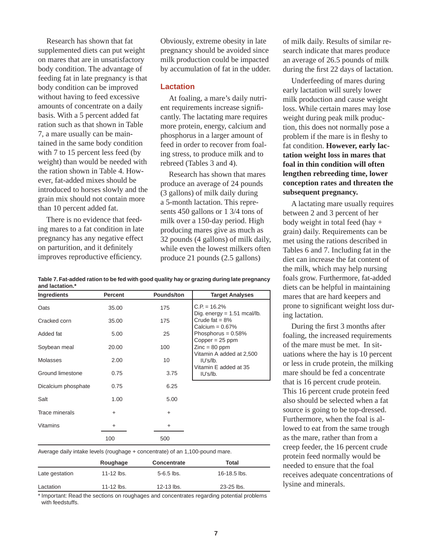Research has shown that fat supplemented diets can put weight on mares that are in unsatisfactory body condition. The advantage of feeding fat in late pregnancy is that body condition can be improved without having to feed excessive amounts of concentrate on a daily basis. With a 5 percent added fat ration such as that shown in Table 7, a mare usually can be maintained in the same body condition with 7 to 15 percent less feed (by weight) than would be needed with the ration shown in Table 4. However, fat-added mixes should be introduced to horses slowly and the grain mix should not contain more than 10 percent added fat.

There is no evidence that feeding mares to a fat condition in late pregnancy has any negative effect on parturition, and it definitely improves reproductive efficiency.

Obviously, extreme obesity in late pregnancy should be avoided since milk production could be impacted by accumulation of fat in the udder.

#### **Lactation**

At foaling, a mare's daily nutrient requirements increase significantly. The lactating mare requires more protein, energy, calcium and phosphorus in a larger amount of feed in order to recover from foaling stress, to produce milk and to rebreed (Tables 3 and 4).

Research has shown that mares produce an average of 24 pounds (3 gallons) of milk daily during a 5-month lactation. This represents 450 gallons or 1 3/4 tons of milk over a 150-day period. High producing mares give as much as 32 pounds (4 gallons) of milk daily, while even the lowest milkers often produce 21 pounds (2.5 gallons)

| Table 7. Fat-added ration to be fed with good quality hay or grazing during late pregnancy |  |
|--------------------------------------------------------------------------------------------|--|
| and lactation.*                                                                            |  |

| Ingredients         | <b>Percent</b> | <b>Pounds/ton</b> | <b>Target Analyses</b>                          |
|---------------------|----------------|-------------------|-------------------------------------------------|
| Oats                | 35.00          | 175               | $C.P. = 16.2%$<br>Dig. energy = $1.51$ mcal/lb. |
| Cracked corn        | 35.00          | 175               | Crude fat $= 8\%$<br>Calcium = $0.67\%$         |
| Added fat           | 5.00           | 25                | Phosphorus = $0.58\%$<br>$Copper = 25 ppm$      |
| Soybean meal        | 20.00          | 100               | $Zinc = 80$ ppm                                 |
| <b>Molasses</b>     | 2.00           | 10                | Vitamin A added at 2,500<br>IU's/lb.            |
| Ground limestone    | 0.75           | 3.75              | Vitamin E added at 35<br>IU's/lb.               |
| Dicalcium phosphate | 0.75           | 6.25              |                                                 |
| Salt                | 1.00           | 5.00              |                                                 |
| Trace minerals      | $\ddot{}$      | $\ddot{}$         |                                                 |
| <b>Vitamins</b>     | +              | $\ddot{}$         |                                                 |
|                     | 100            | 500               |                                                 |

Average daily intake levels (roughage + concentrate) of an 1,100-pound mare.

|                | Roughage              | Concentrate    | Total            |
|----------------|-----------------------|----------------|------------------|
| Late gestation | 11-12 $\mathsf{ls}$ . | $5 - 6.5$ lbs. | $16 - 18.5$ lbs. |
| Lactation      | 11-12 $\mathsf{ls}$ . | $12 - 13$ lbs. | $23 - 25$ lbs.   |

\* Important: Read the sections on roughages and concentrates regarding potential problems with feedstuffs.

of milk daily. Results of similar research indicate that mares produce an average of 26.5 pounds of milk during the first 22 days of lactation.

Underfeeding of mares during early lactation will surely lower milk production and cause weight loss. While certain mares may lose weight during peak milk production, this does not normally pose a problem if the mare is in fleshy to fat condition. However, early lac**tation weight loss in mares that**  foal in thin condition will often lengthen rebreeding time, lower **con cep tion rates and threaten the**  subsequent pregnancy.

A lactating mare usually requires between 2 and 3 percent of her body weight in total feed (hay + grain) daily. Requirements can be met using the rations described in Tables 6 and 7. Including fat in the diet can increase the fat content of the milk, which may help nursing foals grow. Furthermore, fat-added diets can be helpful in maintaining mares that are hard keepers and prone to significant weight loss during lactation.

During the first 3 months after foaling, the increased requirements of the mare must be met. In situations where the hay is 10 percent or less in crude protein, the milking mare should be fed a concentrate that is 16 percent crude protein. This 16 percent crude protein feed also should be selected when a fat source is going to be top-dressed. Furthermore, when the foal is allowed to eat from the same trough as the mare, rather than from a creep feeder, the 16 percent crude protein feed normally would be needed to ensure that the foal receives adequate concentrations of lysine and minerals.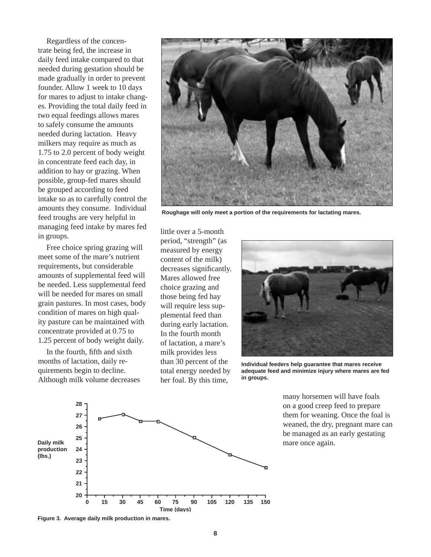Regardless of the concentrate being fed, the increase in daily feed intake compared to that needed during gestation should be made gradually in order to prevent founder. Allow 1 week to 10 days for mares to adjust to intake changes. Providing the total daily feed in two equal feedings allows mares to safely consume the amounts needed during lactation. Heavy milkers may require as much as 1.75 to 2.0 percent of body weight in concentrate feed each day, in addition to hay or grazing. When possible, group-fed mares should be grouped according to feed intake so as to carefully control the amounts they consume. Individual feed troughs are very helpful in managing feed intake by mares fed in groups.

Free choice spring grazing will meet some of the mare's nutrient requirements, but considerable amounts of supplemental feed will be needed. Less supplemental feed will be needed for mares on small grain pastures. In most cases, body condition of mares on high quality pasture can be maintained with concentrate provided at 0.75 to 1.25 percent of body weight daily.

In the fourth, fifth and sixth months of lactation, daily require ments begin to decline. Although milk volume decreases



Roughage will only meet a portion of the requirements for lactating mares.

little over a 5-month period, "strength" (as measured by energy content of the milk) decreases significantly. Mares allowed free choice grazing and those being fed hay will require less supplemental feed than during early lactation. In the fourth month of lactation, a mare's milk provides less than 30 percent of the total energy needed by her foal. By this time,



Individual feeders help guarantee that mares receive **ad e quate feed and minimize injury where mares are fed in groups.**



many horsemen will have foals on a good creep feed to prepare them for weaning. Once the foal is weaned, the dry, pregnant mare can be managed as an early gestating mare once again.

**Figure 3. Average daily milk production in mares.**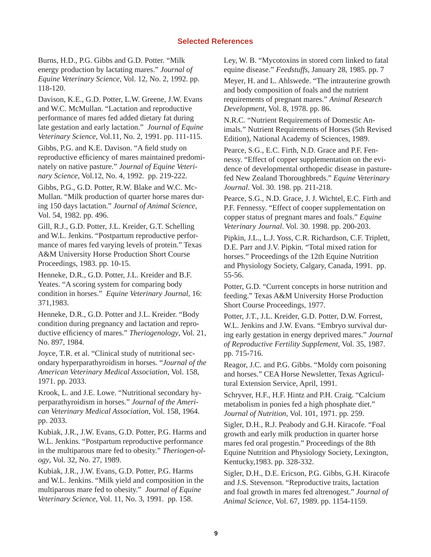## **Selected References**

Burns, H.D., P.G. Gibbs and G.D. Potter. "Milk energy production by lactating mares." *Journal of Equine Veterinary Science, Vol. 12, No. 2, 1992. pp.* 118-120.

Davison, K.E., G.D. Potter, L.W. Greene, J.W. Evans and W.C. McMullan. "Lactation and reproductive performance of mares fed added dietary fat during late gestation and early lactation." *Journal of Equine Vet er i nary Science*, Vol.11, No. 2, 1991. pp. 111-115.

Gibbs, P.G. and K.E. Davison. "A field study on reproductive efficiency of mares maintained predominately on native pasture." Journal of Equine Veteri*nary Science*, Vol.12, No. 4, 1992. pp. 219-222.

Gibbs, P.G., G.D. Potter, R.W. Blake and W.C. Mc-Mullan. "Milk production of quarter horse mares during 150 days lactation." Journal of Animal Science, Vol. 54, 1982. pp. 496.

Gill, R.J., G.D. Potter, J.L. Kreider, G.T. Schelling and W.L. Jenkins. "Postpartum reproductive performance of mares fed varying levels of protein." Texas A&M University Horse Production Short Course Proceedings, 1983. pp. 10-15.

Henneke, D.R., G.D. Potter, J.L. Kreider and B.F. Yeates. "A scoring system for comparing body condition in horses." *Equine Veterinary Journal*, 16: 371,1983.

Henneke, D.R., G.D. Potter and J.L. Kreider. "Body condition during pregnancy and lactation and reproductive efficiency of mares." *Theriogenology*, Vol. 21, No. 897, 1984.

Joyce, T.R. et al. "Clinical study of nutritional secondary hyperparathyroidism in horses. "*Journal of the American Veterinary Medical Association*, Vol. 158, 1971. pp. 2033.

Krook, L. and J.E. Lowe. "Nutritional secondary hyperparathyroidism in horses." Journal of the Ameri*can Veterinary Medical Association, Vol. 158, 1964.* pp. 2033.

Kubiak, J.R., J.W. Evans, G.D. Potter, P.G. Harms and W.L. Jenkins. "Postpartum reproductive performance in the multiparous mare fed to obesity." *Theriogen-ology*, Vol. 32, No. 27, 1989.

Kubiak, J.R., J.W. Evans, G.D. Potter, P.G. Harms and W.L. Jenkins. "Milk yield and composition in the multiparous mare fed to obesity." *Journal of Equine Veterinary Science*, Vol. 11, No. 3, 1991. pp. 158.

Ley, W. B. "Mycotoxins in stored corn linked to fatal equine disease." *Feedstuffs*, January 28, 1985. pp. 7 Meyer, H. and L. Ahlswede. "The intrauterine growth and body composition of foals and the nutrient requirements of pregnant mares." *Animal Research De vel op ment*, Vol. 8, 1978. pp. 86.

N.R.C. "Nutrient Requirements of Domestic Animals." Nutrient Requirements of Horses (5th Revised Edition), National Academy of Sciences, 1989.

Pearce, S.G., E.C. Firth, N.D. Grace and P.F. Fennessy. "Effect of copper supplementation on the evidence of developmental orthopedic disease in pasturefed New Zealand Thoroughbreds." *Equine Veterinary Journal*. Vol. 30. 198. pp. 211-218.

Pearce, S.G., N.D. Grace, J. J. Wichtel, E.C. Firth and P.F. Fennessy. "Effect of cooper supplementation on copper status of pregnant mares and foals." *Equine Veterinary Journal*. Vol. 30. 1998. pp. 200-203.

Pipkin, J.L., L.J. Yoss, C.R. Richardson, C.F. Triplett, D.E. Parr and J.V. Pipkin. "Total mixed ration for horses." Proceedings of the 12th Equine Nutrition and Physiology Society, Calgary, Canada, 1991. pp. 55-56.

Potter, G.D. "Current concepts in horse nutrition and feeding." Texas A&M University Horse Production Short Course Proceedings, 1977.

Potter, J.T., J.L. Kreider, G.D. Potter, D.W. Forrest, W.L. Jenkins and J.W. Evans. "Embryo survival during early gestation in energy deprived mares." *Journal of Re pro duc tive Fertility Supplement,* Vol. 35, 1987. pp. 715-716.

Reagor, J.C. and P.G. Gibbs. "Moldy corn poisoning and horses." CEA Horse Newsletter, Texas Agricultural Extension Service, April, 1991.

Schryver, H.F., H.F. Hintz and P.H. Craig. "Calcium metabolism in ponies fed a high phosphate diet." *Jour nal of Nu tri tion*, Vol. 101, 1971. pp. 259.

Sigler, D.H., R.J. Peabody and G.H. Kiracofe. "Foal growth and early milk production in quarter horse mares fed oral progestin." Proceedings of the 8th Equine Nutrition and Physiology Society, Lexington, Kentucky, 1983. pp. 328-332.

Sigler, D.H., D.E. Ericson, P.G. Gibbs, G.H. Kiracofe and J.S. Stevenson. "Reproductive traits, lactation and foal growth in mares fed altrenogest." *Journal of An i mal Science*, Vol. 67, 1989. pp. 1154-1159.